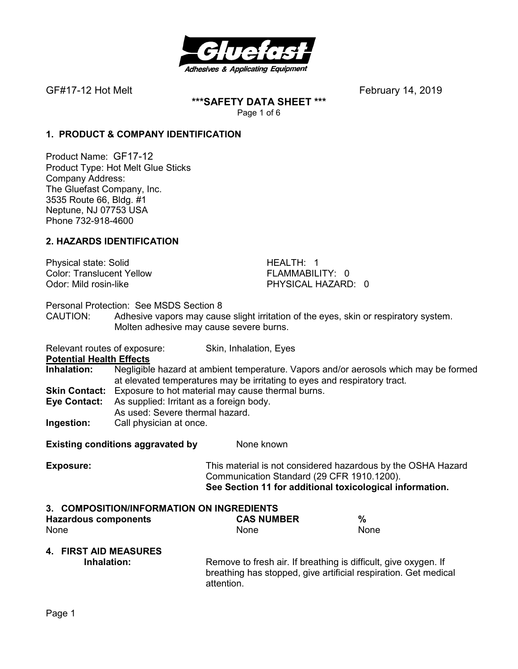

**\*\*\*SAFETY DATA SHEET \*\*\***  Page 1 of 6

## **1. PRODUCT & COMPANY IDENTIFICATION**

Product Name: GF17-12 Product Type: Hot Melt Glue Sticks Company Address: The Gluefast Company, Inc. 3535 Route 66, Bldg. #1 Neptune, NJ 07753 USA Phone 732-918-4600

## **2. HAZARDS IDENTIFICATION**

Physical state: Solid **HEALTH: 1** Color: Translucent Yellow FLAMMABILITY: 0<br>
Odor: Mild rosin-like Color: PHYSICAL HAZARD

PHYSICAL HAZARD: 0

Personal Protection: See MSDS Section 8

- CAUTION: Adhesive vapors may cause slight irritation of the eyes, skin or respiratory system. Molten adhesive may cause severe burns.
- Relevant routes of exposure: Skin, Inhalation, Eyes

**Potential Health Effects** 

- **Inhalation:** Negligible hazard at ambient temperature. Vapors and/or aerosols which may be formed at elevated temperatures may be irritating to eyes and respiratory tract. **Skin Contact:** Exposure to hot material may cause thermal burns.
- **Eye Contact:** As supplied: Irritant as a foreign body.
- As used: Severe thermal hazard.
- **Ingestion:** Call physician at once.

**Existing conditions aggravated by Solvich Representions Aggravated by Representations Aggregate** 

**Exposure:** This material is not considered hazardous by the OSHA Hazard Communication Standard (29 CFR 1910.1200). **See Section 11 for additional toxicological information.** 

## **3. COMPOSITION/INFORMATION ON INGREDIENTS**

| <b>Hazardous components</b>                 | <b>CAS NUMBER</b>                                                             | %                                                               |
|---------------------------------------------|-------------------------------------------------------------------------------|-----------------------------------------------------------------|
| None                                        | <b>None</b>                                                                   | <b>None</b>                                                     |
| <b>4. FIRST AID MEASURES</b><br>Inhalation: | Remove to fresh air. If breathing is difficult, give oxygen. If<br>attention. | breathing has stopped, give artificial respiration. Get medical |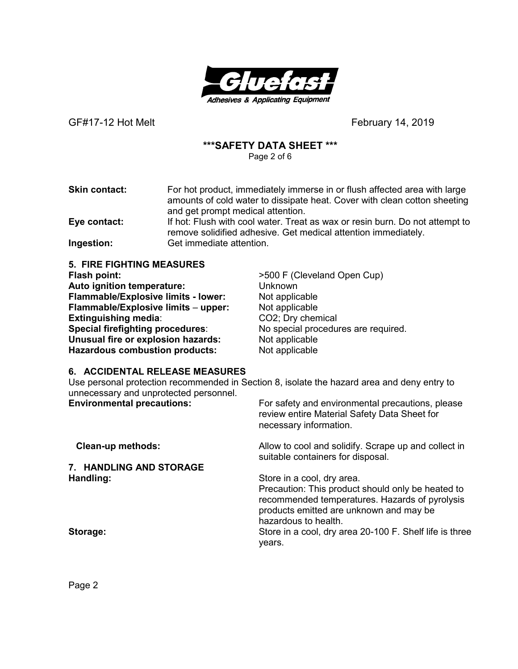

## **\*\*\*SAFETY DATA SHEET \*\*\***

Page 2 of 6

**Skin contact:** For hot product, immediately immerse in or flush affected area with large amounts of cold water to dissipate heat. Cover with clean cotton sheeting and get prompt medical attention.

**Eye contact:** If hot: Flush with cool water. Treat as wax or resin burn. Do not attempt to remove solidified adhesive. Get medical attention immediately. **Ingestion:** Get immediate attention.

**5. FIRE FIGHTING MEASURES Flash point:**  $>500$  F (Cleveland Open Cup) **Auto ignition temperature:** Unknown **Flammable/Explosive limits - lower:** Not applicable **Flammable/Explosive limits** – **upper:** Not applicable **Extinguishing media:** CO2; Dry chemical **Special firefighting procedures**: No special procedures are required. **Unusual fire or explosion hazards:** Not applicable **Hazardous combustion products:** Not applicable

## **6. ACCIDENTAL RELEASE MEASURES**

Use personal protection recommended in Section 8, isolate the hazard area and deny entry to unnecessary and unprotected personnel.

| <b>Environmental precautions:</b> | For safety and environmental precautions, please<br>review entire Material Safety Data Sheet for<br>necessary information.                                                                           |
|-----------------------------------|------------------------------------------------------------------------------------------------------------------------------------------------------------------------------------------------------|
| <b>Clean-up methods:</b>          | Allow to cool and solidify. Scrape up and collect in<br>suitable containers for disposal.                                                                                                            |
| 7. HANDLING AND STORAGE           |                                                                                                                                                                                                      |
| Handling:                         | Store in a cool, dry area.<br>Precaution: This product should only be heated to<br>recommended temperatures. Hazards of pyrolysis<br>products emitted are unknown and may be<br>hazardous to health. |
| Storage:                          | Store in a cool, dry area 20-100 F. Shelf life is three<br>vears.                                                                                                                                    |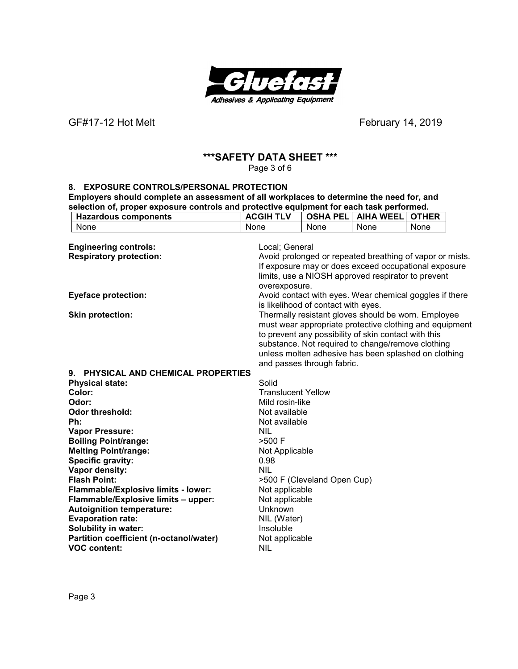

## **\*\*\*SAFETY DATA SHEET \*\*\***

Page 3 of 6

#### **8. EXPOSURE CONTROLS/PERSONAL PROTECTION**

**Employers should complete an assessment of all workplaces to determine the need for, and selection of, proper exposure controls and protective equipment for each task performed.**<br>
| Azardous components | ACGIH TLV | OSHA PEL | AIHA WEEL | OTHI **Hazardous components**<br> **ACGIH TLV OSHA PEL** AIHA WEEL OTHER<br>
None None None None

| None                                    | None                      | None                                | None                                                     | None |  |
|-----------------------------------------|---------------------------|-------------------------------------|----------------------------------------------------------|------|--|
|                                         |                           |                                     |                                                          |      |  |
| <b>Engineering controls:</b>            | Local; General            |                                     |                                                          |      |  |
| <b>Respiratory protection:</b>          |                           |                                     | Avoid prolonged or repeated breathing of vapor or mists. |      |  |
|                                         |                           |                                     | If exposure may or does exceed occupational exposure     |      |  |
|                                         |                           |                                     | limits, use a NIOSH approved respirator to prevent       |      |  |
|                                         | overexposure.             |                                     |                                                          |      |  |
| <b>Eyeface protection:</b>              |                           |                                     | Avoid contact with eyes. Wear chemical goggles if there  |      |  |
|                                         |                           | is likelihood of contact with eyes. |                                                          |      |  |
| <b>Skin protection:</b>                 |                           |                                     | Thermally resistant gloves should be worn. Employee      |      |  |
|                                         |                           |                                     | must wear appropriate protective clothing and equipment  |      |  |
|                                         |                           |                                     | to prevent any possibility of skin contact with this     |      |  |
|                                         |                           |                                     | substance. Not required to change/remove clothing        |      |  |
|                                         |                           |                                     | unless molten adhesive has been splashed on clothing     |      |  |
|                                         |                           | and passes through fabric.          |                                                          |      |  |
| 9. PHYSICAL AND CHEMICAL PROPERTIES     |                           |                                     |                                                          |      |  |
| <b>Physical state:</b>                  | Solid                     |                                     |                                                          |      |  |
| Color:                                  | <b>Translucent Yellow</b> |                                     |                                                          |      |  |
| Odor:                                   | Mild rosin-like           |                                     |                                                          |      |  |
| <b>Odor threshold:</b>                  | Not available             |                                     |                                                          |      |  |
| Ph:                                     | Not available             |                                     |                                                          |      |  |
| <b>Vapor Pressure:</b>                  | <b>NIL</b>                |                                     |                                                          |      |  |
| <b>Boiling Point/range:</b>             | >500 F                    |                                     |                                                          |      |  |
| <b>Melting Point/range:</b>             | Not Applicable            |                                     |                                                          |      |  |
| <b>Specific gravity:</b>                | 0.98                      |                                     |                                                          |      |  |
| Vapor density:                          | <b>NIL</b>                |                                     |                                                          |      |  |
| <b>Flash Point:</b>                     |                           | >500 F (Cleveland Open Cup)         |                                                          |      |  |
| Flammable/Explosive limits - lower:     | Not applicable            |                                     |                                                          |      |  |
| Flammable/Explosive limits - upper:     | Not applicable            |                                     |                                                          |      |  |
| <b>Autoignition temperature:</b>        | Unknown                   |                                     |                                                          |      |  |
| <b>Evaporation rate:</b>                | NIL (Water)               |                                     |                                                          |      |  |
| Solubility in water:                    | Insoluble                 |                                     |                                                          |      |  |
| Partition coefficient (n-octanol/water) | Not applicable            |                                     |                                                          |      |  |
| <b>VOC content:</b>                     | <b>NIL</b>                |                                     |                                                          |      |  |
|                                         |                           |                                     |                                                          |      |  |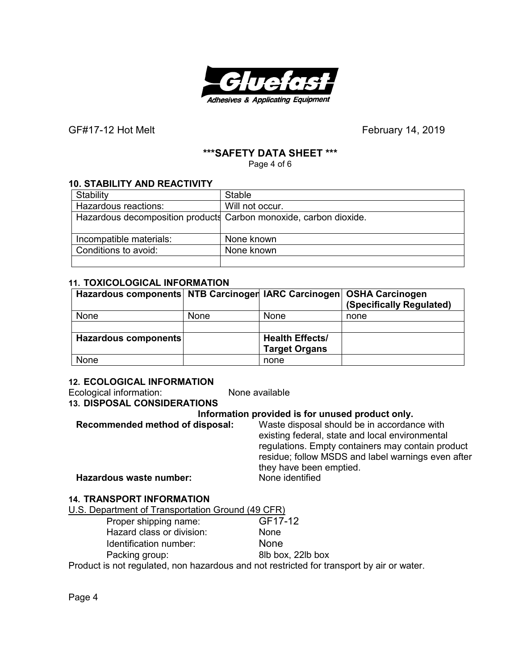

## **\*\*\*SAFETY DATA SHEET \*\*\***

Page 4 of 6

## **10. STABILITY AND REACTIVITY**

| Stability               | <b>Stable</b>                                                     |
|-------------------------|-------------------------------------------------------------------|
| Hazardous reactions:    | Will not occur.                                                   |
|                         | Hazardous decomposition products Carbon monoxide, carbon dioxide. |
|                         |                                                                   |
| Incompatible materials: | None known                                                        |
| Conditions to avoid:    | None known                                                        |
|                         |                                                                   |

#### **11. TOXICOLOGICAL INFORMATION**

| Hazardous components NTB Carcinoger IARC Carcinogen OSHA Carcinogen |             |                                                | (Specifically Regulated) |
|---------------------------------------------------------------------|-------------|------------------------------------------------|--------------------------|
| None                                                                | <b>None</b> | None                                           | none                     |
|                                                                     |             |                                                |                          |
| Hazardous components                                                |             | <b>Health Effects/</b><br><b>Target Organs</b> |                          |
| None                                                                |             | none                                           |                          |

## **12. ECOLOGICAL INFORMATION**

Ecological information: None available **13. DISPOSAL CONSIDERATIONS Information provided is for unused product only.** 

|                                 | <u>mionialion provided is for anased productionly.</u> |
|---------------------------------|--------------------------------------------------------|
| Recommended method of disposal: | Waste disposal should be in accordance with            |
|                                 | existing federal, state and local environmental        |
|                                 | regulations. Empty containers may contain product      |
|                                 | residue; follow MSDS and label warnings even after     |
|                                 | they have been emptied.                                |
| Hazardous waste number:         | None identified                                        |
|                                 |                                                        |

## **14. TRANSPORT INFORMATION**

| U.S. Department of Transportation Ground (49 CFR)                                         |                   |
|-------------------------------------------------------------------------------------------|-------------------|
| Proper shipping name:                                                                     | GF17-12           |
| Hazard class or division:                                                                 | None              |
| Identification number:                                                                    | <b>None</b>       |
| Packing group:                                                                            | 8lb box, 22lb box |
| Product is not regulated, non hazardous and not restricted for transport by air or water. |                   |